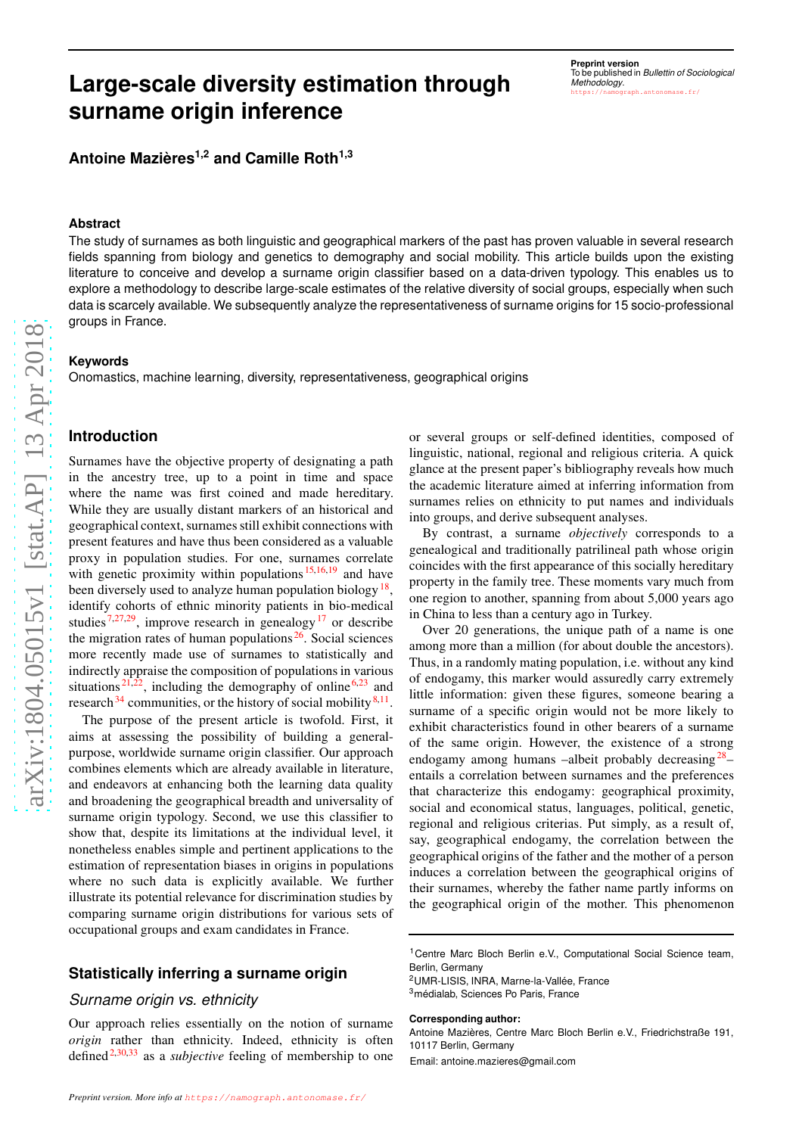# **Large-scale diversity estimation through surname origin inference**

**Preprint version** To be published in *Bullettin of Sociological Methodology* .  $hase.fr/$ 

**Antoine Mazières1,2 and Camille Roth1,3**

### **Abstract**

The study of surnames as both linguistic and geographical markers of the past has proven valuable in several research fields spanning from biology and genetics to demography and social mobility. This article builds upon the existing literature to conceive and develop a surname origin classifier based on a data-driven typology. This enables us to explore a methodology to describe large-scale estimates of the relative diversity of social groups, especially when such data is scarcely available. We subsequently analyze the representativeness of surname origins for 15 socio-professional groups in France.

### **Keywords**

Onomastics, machine learning, diversity, representativeness, geographical origins

# **Introduction**

Surnames have the objective property of designating a path in the ancestry tree, up to a point in time and space where the name was first coined and made hereditary. While they are usually distant markers of an historical and geographical context, surnames still exhibit connections with present features and have thus been considered as a valuable proxy in population studies. For one, surnames correlate with genetic proximity within populations  $15,16,19$  $15,16,19$  $15,16,19$  and have been diversely used to analyze human population biology<sup>[18](#page-6-3)</sup>, identify cohorts of ethnic minority patients in bio-medica l studies<sup>[7](#page-6-4)[,27](#page-6-5)[,29](#page-6-6)</sup>, improve research in genealogy<sup>[17](#page-6-7)</sup> or describe the migration rates of human populations  $26$ . Social sciences more recently made use of surnames to statistically and indirectly appraise the composition of populations in various situations<sup>[21](#page-6-9)[,22](#page-6-10)</sup>, including the demography of online<sup>[6](#page-6-11)[,23](#page-6-12)</sup> and research  $34$  communities, or the history of social mobility  $8,11$  $8,11$ .

The purpose of the present article is twofold. First, it aims at assessing the possibility of building a generalpurpose, worldwide surname origin classifier. Our approach combines elements which are already available in literature, and endeavors at enhancing both the learning data quality and broadening the geographical breadth and universality o f surname origin typology. Second, we use this classifier to show that, despite its limitations at the individual level, it nonetheless enables simple and pertinent applications to the estimation of representation biases in origins in populations where no such data is explicitly available. We further illustrate its potential relevance for discrimination studies by comparing surname origin distributions for various sets of occupational groups and exam candidates in France.

# **Statistically inferring a surname origin**

### *Surname origin vs. ethnicity*

Our approach relies essentially on the notion of surname *origin* rather than ethnicity. Indeed, ethnicity is often defined<sup>[2](#page-6-15)[,30](#page-6-16)[,33](#page-7-1)</sup> as a *subjective* feeling of membership to one

or several groups or self-defined identities, composed of linguistic, national, regional and religious criteria. A quick glance at the present paper's bibliography reveals how much the academic literature aimed at inferring information fro m surnames relies on ethnicity to put names and individuals into groups, and derive subsequent analyses.

By contrast, a surname *objectively* corresponds to a genealogical and traditionally patrilineal path whose origin coincides with the first appearance of this socially hereditary property in the family tree. These moments vary much from one region to another, spanning from about 5,000 years ago in China to less than a century ago in Turkey.

Over 20 generations, the unique path of a name is one among more than a million (for about double the ancestors). Thus, in a randomly mating population, i.e. without any kind of endogamy, this marker would assuredly carry extremely little information: given these figures, someone bearing a surname of a specific origin would not be more likely to exhibit characteristics found in other bearers of a surname of the same origin. However, the existence of a strong endogamy among humans -albeit probably decreasing<sup>[28](#page-6-17)</sup>entails a correlation between surnames and the preferences that characterize this endogamy: geographical proximity, social and economical status, languages, political, genetic, regional and religious criterias. Put simply, as a result of , say, geographical endogamy, the correlation between the geographical origins of the father and the mother of a person induces a correlation between the geographical origins of their surnames, whereby the father name partly informs on the geographical origin of the mother. This phenomenon

<sup>2</sup>UMR-LISIS, INRA, Marne-la-Vallée, France <sup>3</sup>médialab, Sciences Po Paris, France

#### **Corresponding author:**

Antoine Mazières, Centre Marc Bloch Berlin e.V., Friedrichstraße 191, 10117 Berlin, Germany

Email: antoine.mazieres@gmail.com

<sup>&</sup>lt;sup>1</sup> Centre Marc Bloch Berlin e.V., Computational Social Science team, Berlin, Germany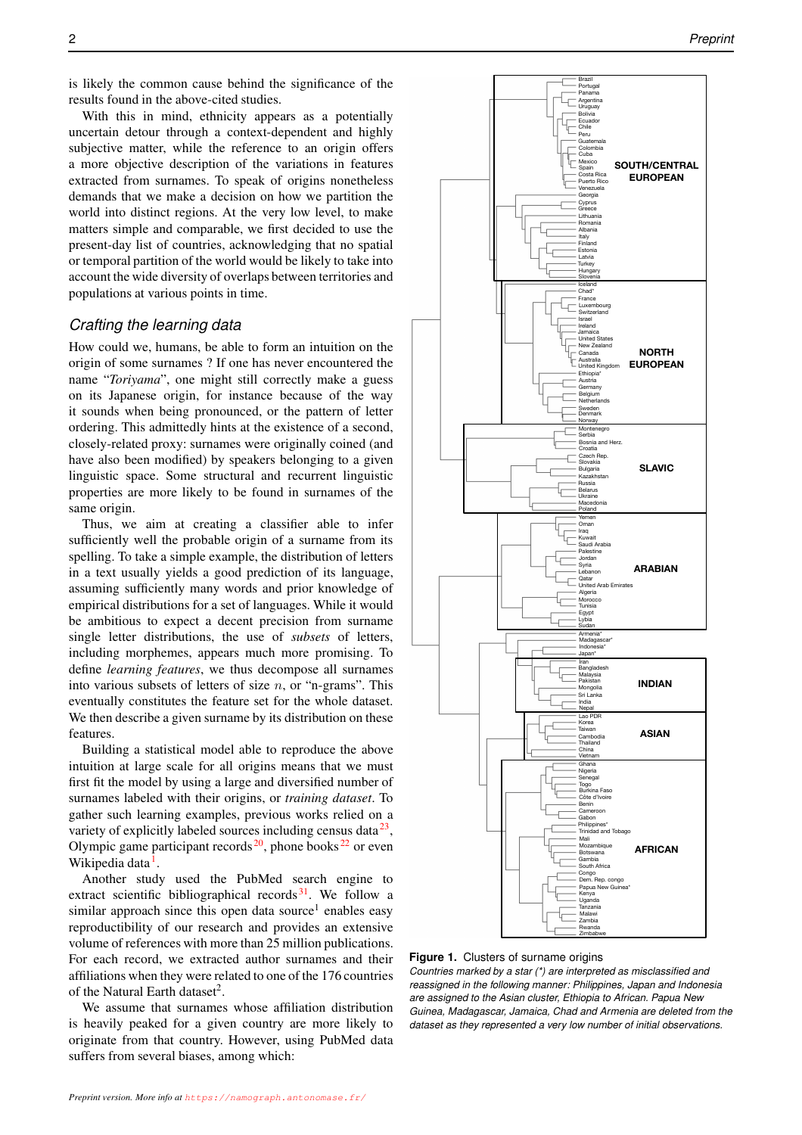is likely the common cause behind the significance of the results found in the above-cited studies.

With this in mind, ethnicity appears as a potentially uncertain detour through a context-dependent and highly subjective matter, while the reference to an origin offers a more objective description of the variations in features extracted from surnames. To speak of origins nonetheless demands that we make a decision on how we partition the world into distinct regions. At the very low level, to make matters simple and comparable, we first decided to use the present-day list of countries, acknowledging that no spatial or temporal partition of the world would be likely to take into account the wide diversity of overlaps between territories and populations at various points in time.

# *Crafting the learning data*

How could we, humans, be able to form an intuition on the origin of some surnames ? If one has never encountered the name "*Toriyama*", one might still correctly make a guess on its Japanese origin, for instance because of the way it sounds when being pronounced, or the pattern of letter ordering. This admittedly hints at the existence of a second, closely-related proxy: surnames were originally coined (and have also been modified) by speakers belonging to a given linguistic space. Some structural and recurrent linguistic properties are more likely to be found in surnames of the same origin.

Thus, we aim at creating a classifier able to infer sufficiently well the probable origin of a surname from its spelling. To take a simple example, the distribution of letters in a text usually yields a good prediction of its language, assuming sufficiently many words and prior knowledge of empirical distributions for a set of languages. While it would be ambitious to expect a decent precision from surname single letter distributions, the use of *subsets* of letters, including morphemes, appears much more promising. To define *learning features*, we thus decompose all surnames into various subsets of letters of size  $n$ , or "n-grams". This eventually constitutes the feature set for the whole dataset. We then describe a given surname by its distribution on these features.

Building a statistical model able to reproduce the above intuition at large scale for all origins means that we must first fit the model by using a large and diversified number of surnames labeled with their origins, or *training dataset*. To gather such learning examples, previous works relied on a variety of explicitly labeled sources including census data $^{23}$  $^{23}$  $^{23}$ , Olympic game participant records<sup>[20](#page-6-18)</[s](#page-6-10)up>, phone books<sup>22</sup> or even Wikipedi[a](#page-6-19) data<sup>1</sup>.

Another study used the PubMed search engine to extract scientific bibliographical records $31$ [.](#page-6-20) We follow a similar approach since this open data source<sup>1</sup> enables easy reproductibility of our research and provides an extensive volume of references with more than 25 million publications. For each record, we extracted author surnames and their affiliations when they were related to one of the 176 countries of the Natural Earth dataset<sup>2</sup>.

We assume that surnames whose affiliation distribution is heavily peaked for a given country are more likely to originate from that country. However, using PubMed data suffers from several biases, among which:

<span id="page-1-0"></span>

**Figure 1.** Clusters of surname origins

*Countries marked by a star (\*) are interpreted as misclassified and reassigned in the following manner: Philippines, Japan and Indonesia are assigned to the Asian cluster, Ethiopia to African. Papua New Guinea, Madagascar, Jamaica, Chad and Armenia are deleted from the dataset as they represented a very low number of initial observations.*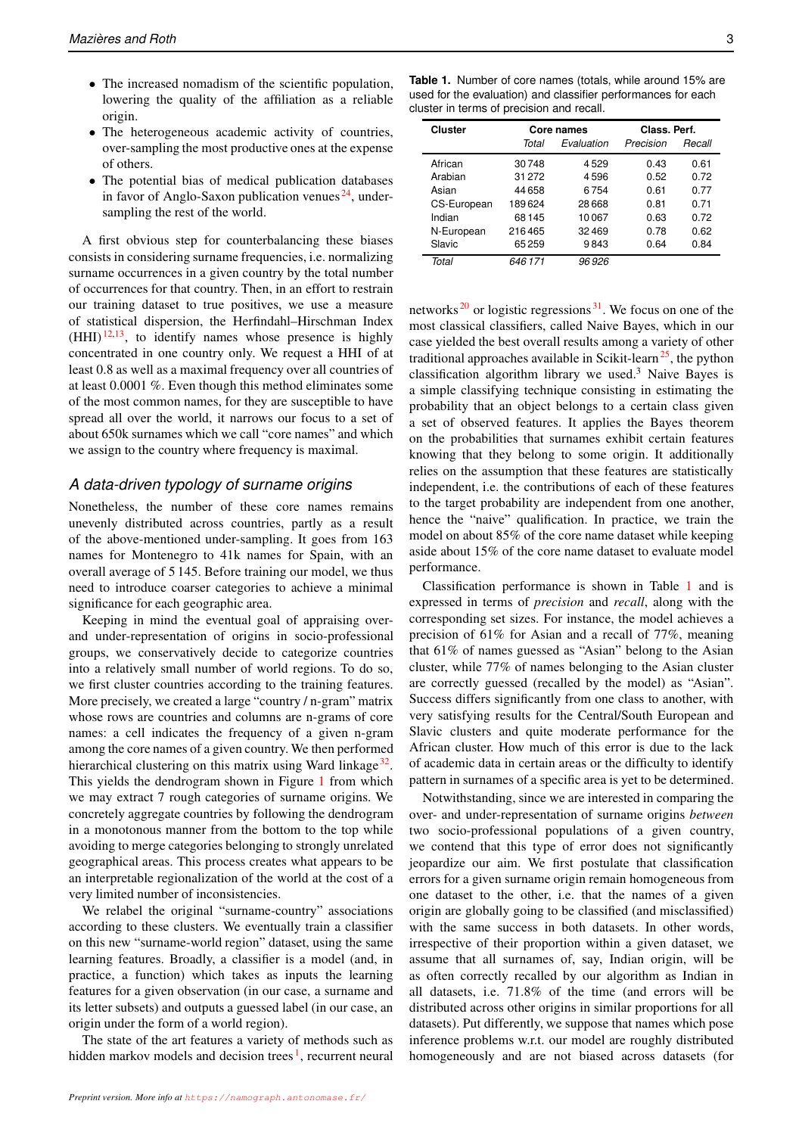- The increased nomadism of the scientific population, lowering the quality of the affiliation as a reliable origin.
- The heterogeneous academic activity of countries, over-sampling the most productive ones at the expense of others.
- The potential bias of medical publication databases in favor of Anglo-Saxon publication venues  $24$ , undersampling the rest of the world.

A first obvious step for counterbalancing these biases consists in considering surname frequencies, i.e. normalizing surname occurrences in a given country by the total number of occurrences for that country. Then, in an effort to restrain our training dataset to true positives, we use a measure of statistical dispersion, the Herfindahl–Hirschman Index  $(HHI)<sup>12,13</sup>$  $(HHI)<sup>12,13</sup>$  $(HHI)<sup>12,13</sup>$  $(HHI)<sup>12,13</sup>$ , to identify names whose presence is highly concentrated in one country only. We request a HHI of at least 0.8 as well as a maximal frequency over all countries of at least 0.0001 %. Even though this method eliminates some of the most common names, for they are susceptible to have spread all over the world, it narrows our focus to a set of about 650k surnames which we call "core names" and which we assign to the country where frequency is maximal.

# *A data-driven typology of surname origins*

Nonetheless, the number of these core names remains unevenly distributed across countries, partly as a result of the above-mentioned under-sampling. It goes from 163 names for Montenegro to 41k names for Spain, with an overall average of 5 145. Before training our model, we thus need to introduce coarser categories to achieve a minimal significance for each geographic area.

Keeping in mind the eventual goal of appraising overand under-representation of origins in socio-professional groups, we conservatively decide to categorize countries into a relatively small number of world regions. To do so, we first cluster countries according to the training features. More precisely, we created a large "country / n-gram" matrix whose rows are countries and columns are n-grams of core names: a cell indicates the frequency of a given n-gram among the core names of a given country. We then performed hierarchical clustering on this matrix using Ward linkage<sup>[32](#page-6-24)</sup>. This yields the dendrogram shown in Figure [1](#page-1-0) from which we may extract 7 rough categories of surname origins. We concretely aggregate countries by following the dendrogram in a monotonous manner from the bottom to the top while avoiding to merge categories belonging to strongly unrelated geographical areas. This process creates what appears to be an interpretable regionalization of the world at the cost of a very limited number of inconsistencies.

We relabel the original "surname-country" associations according to these clusters. We eventually train a classifier on this new "surname-world region" dataset, using the same learning features. Broadly, a classifier is a model (and, in practice, a function) which takes as inputs the learning features for a given observation (in our case, a surname and its letter subsets) and outputs a guessed label (in our case, an origin under the form of a world region).

The state of the art features a variety of methods such as hidden markov models and decision trees<sup>[1](#page-6-19)</sup>, recurrent neural

<span id="page-2-0"></span>**Table 1.** Number of core names (totals, while around 15% are used for the evaluation) and classifier performances for each cluster in terms of precision and recall.

| <b>Cluster</b> |         | Core names | Class. Perf. |        |  |
|----------------|---------|------------|--------------|--------|--|
|                | Total   | Evaluation | Precision    | Recall |  |
| African        | 30748   | 4529       | 0.43         | 0.61   |  |
| Arabian        | 31 272  | 4596       | 0.52         | 0.72   |  |
| Asian          | 44658   | 6754       | 0.61         | 0.77   |  |
| CS-European    | 189624  | 28668      | 0.81         | 0.71   |  |
| Indian         | 68145   | 10067      | 0.63         | 0.72   |  |
| N-European     | 216465  | 32469      | 0.78         | 0.62   |  |
| Slavic         | 65259   | 9843       | 0.64         | 0.84   |  |
| Total          | 646 171 | 96926      |              |        |  |

networks  $20$  or logistic regressions  $31$ . We focus on one of the most classical classifiers, called Naive Bayes, which in our case yielded the best overall results among a variety of other traditional approaches available in Scikit-learn<sup>[25](#page-6-25)</sup>, the python classification algorithm library we used.<sup>3</sup> Naive Bayes is a simple classifying technique consisting in estimating the probability that an object belongs to a certain class given a set of observed features. It applies the Bayes theorem on the probabilities that surnames exhibit certain features knowing that they belong to some origin. It additionally relies on the assumption that these features are statistically independent, i.e. the contributions of each of these features to the target probability are independent from one another, hence the "naive" qualification. In practice, we train the model on about 85% of the core name dataset while keeping aside about 15% of the core name dataset to evaluate model performance.

Classification performance is shown in Table [1](#page-2-0) and is expressed in terms of *precision* and *recall*, along with the corresponding set sizes. For instance, the model achieves a precision of 61% for Asian and a recall of 77%, meaning that 61% of names guessed as "Asian" belong to the Asian cluster, while 77% of names belonging to the Asian cluster are correctly guessed (recalled by the model) as "Asian". Success differs significantly from one class to another, with very satisfying results for the Central/South European and Slavic clusters and quite moderate performance for the African cluster. How much of this error is due to the lack of academic data in certain areas or the difficulty to identify pattern in surnames of a specific area is yet to be determined.

Notwithstanding, since we are interested in comparing the over- and under-representation of surname origins *between* two socio-professional populations of a given country, we contend that this type of error does not significantly jeopardize our aim. We first postulate that classification errors for a given surname origin remain homogeneous from one dataset to the other, i.e. that the names of a given origin are globally going to be classified (and misclassified) with the same success in both datasets. In other words, irrespective of their proportion within a given dataset, we assume that all surnames of, say, Indian origin, will be as often correctly recalled by our algorithm as Indian in all datasets, i.e. 71.8% of the time (and errors will be distributed across other origins in similar proportions for all datasets). Put differently, we suppose that names which pose inference problems w.r.t. our model are roughly distributed homogeneously and are not biased across datasets (for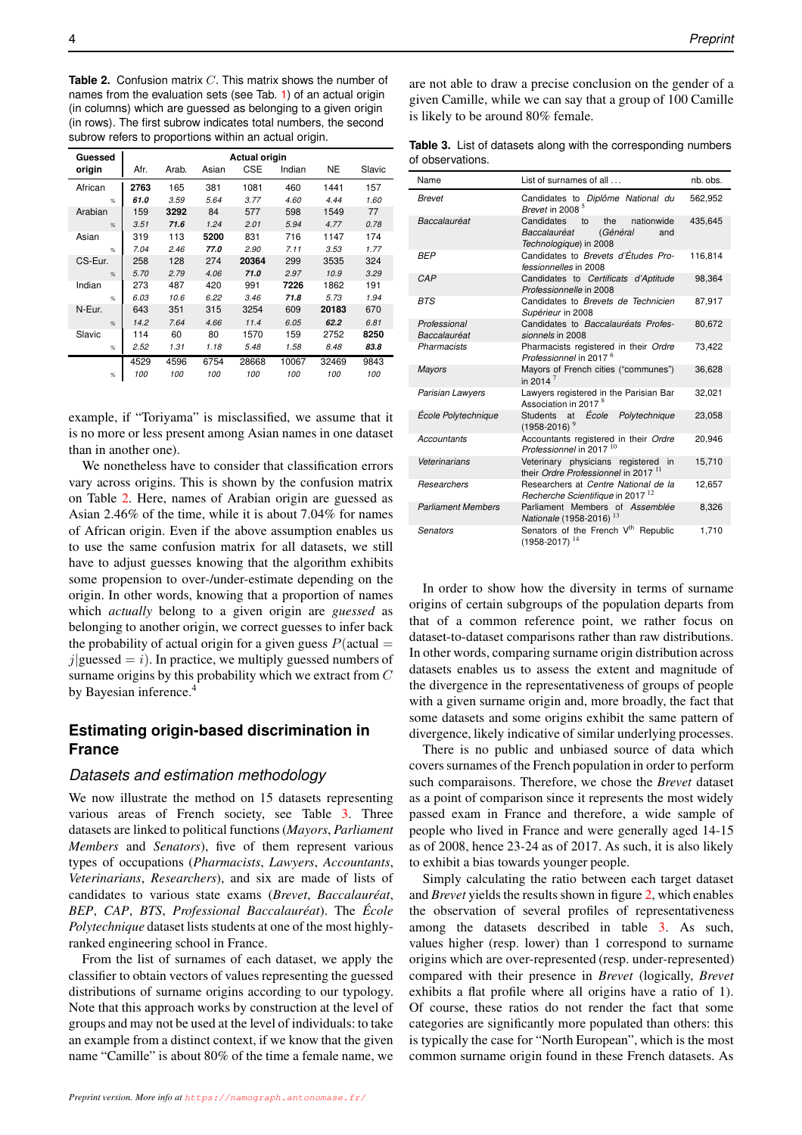<span id="page-3-0"></span>**Table 2.** Confusion matrix C. This matrix shows the number of names from the evaluation sets (see Tab. [1\)](#page-2-0) of an actual origin (in columns) which are guessed as belonging to a given origin (in rows). The first subrow indicates total numbers, the second subrow refers to proportions within an actual origin.

| Guessed       | <b>Actual origin</b> |       |       |            |        |       |        |
|---------------|----------------------|-------|-------|------------|--------|-------|--------|
| origin        | Afr.                 | Arab. | Asian | <b>CSE</b> | Indian | NE    | Slavic |
| African       | 2763                 | 165   | 381   | 1081       | 460    | 1441  | 157    |
| $\frac{9}{6}$ | 61.0                 | 3.59  | 5.64  | 3.77       | 4.60   | 4.44  | 1.60   |
| Arabian       | 159                  | 3292  | 84    | 577        | 598    | 1549  | 77     |
| $\frac{9}{6}$ | 3.51                 | 71.6  | 1.24  | 2.01       | 5.94   | 4.77  | 0.78   |
| Asian         | 319                  | 113   | 5200  | 831        | 716    | 1147  | 174    |
| $\frac{9}{6}$ | 7.04                 | 2.46  | 77.0  | 2.90       | 7.11   | 3.53  | 1.77   |
| CS-Eur.       | 258                  | 128   | 274   | 20364      | 299    | 3535  | 324    |
| $\frac{9}{6}$ | 5.70                 | 2.79  | 4.06  | 71.0       | 2.97   | 10.9  | 3.29   |
| Indian        | 273                  | 487   | 420   | 991        | 7226   | 1862  | 191    |
| $\frac{9}{6}$ | 6.03                 | 10.6  | 6.22  | 3.46       | 71.8   | 5.73  | 1.94   |
| N-Eur.        | 643                  | 351   | 315   | 3254       | 609    | 20183 | 670    |
| $\frac{9}{6}$ | 14.2                 | 7.64  | 4.66  | 11.4       | 6.05   | 62.2  | 6.81   |
| Slavic        | 114                  | 60    | 80    | 1570       | 159    | 2752  | 8250   |
| %             | 2.52                 | 1.31  | 1.18  | 5.48       | 1.58   | 8.48  | 83.8   |
|               | 4529                 | 4596  | 6754  | 28668      | 10067  | 32469 | 9843   |
| $\frac{9}{6}$ | 100                  | 100   | 100   | 100        | 100    | 100   | 100    |

example, if "Toriyama" is misclassified, we assume that it is no more or less present among Asian names in one dataset than in another one).

We nonetheless have to consider that classification errors vary across origins. This is shown by the confusion matrix on Table [2.](#page-3-0) Here, names of Arabian origin are guessed as Asian 2.46% of the time, while it is about 7.04% for names of African origin. Even if the above assumption enables us to use the same confusion matrix for all datasets, we still have to adjust guesses knowing that the algorithm exhibits some propension to over-/under-estimate depending on the origin. In other words, knowing that a proportion of names which *actually* belong to a given origin are *guessed* as belonging to another origin, we correct guesses to infer back the probability of actual origin for a given guess  $P(\text{actual} =$  $j$ |guessed = i). In practice, we multiply guessed numbers of surname origins by this probability which we extract from C by Bayesian inference.<sup>4</sup>

# **Estimating origin-based discrimination in France**

### *Datasets and estimation methodology*

We now illustrate the method on 15 datasets representing various areas of French society, see Table [3.](#page-3-1) Three datasets are linked to political functions (*Mayors*, *Parliament Members* and *Senators*), five of them represent various types of occupations (*Pharmacists*, *Lawyers*, *Accountants*, *Veterinarians*, *Researchers*), and six are made of lists of candidates to various state exams (*Brevet*, *Baccalauréat*, *BEP*, *CAP*, *BTS*, *Professional Baccalauréat*). The *École Polytechnique* dataset lists students at one of the most highlyranked engineering school in France.

From the list of surnames of each dataset, we apply the classifier to obtain vectors of values representing the guessed distributions of surname origins according to our typology. Note that this approach works by construction at the level of groups and may not be used at the level of individuals: to take an example from a distinct context, if we know that the given name "Camille" is about 80% of the time a female name, we are not able to draw a precise conclusion on the gender of a given Camille, while we can say that a group of 100 Camille is likely to be around 80% female.

<span id="page-3-1"></span>

|                  |  |  | Table 3. List of datasets along with the corresponding numbers |  |
|------------------|--|--|----------------------------------------------------------------|--|
| of observations. |  |  |                                                                |  |

| Name                         | List of surnames of all                                                                            | nb. obs. |
|------------------------------|----------------------------------------------------------------------------------------------------|----------|
| Brevet                       | Candidates to Diplôme National du<br>Brevet in 2008 <sup>5</sup>                                   | 562,952  |
| Baccalauréat                 | Candidates<br>nationwide<br>the<br>to<br>Baccalauréat<br>(Général<br>and<br>Technologique) in 2008 | 435,645  |
| BEP                          | Candidates to Brevets d'Études Pro-<br>fessionnelles in 2008                                       | 116,814  |
| CAP                          | Candidates to Certificats d'Aptitude<br>Professionnelle in 2008                                    | 98,364   |
| BTS                          | Candidates to Brevets de Technicien<br>Supérieur in 2008                                           | 87,917   |
| Professional<br>Baccalauréat | Candidates to Baccalauréats Profes-<br>sionnels in 2008                                            | 80,672   |
| Pharmacists                  | Pharmacists registered in their Ordre<br>Professionnel in 2017 <sup>6</sup>                        | 73,422   |
| <b>Mayors</b>                | Mayors of French cities ("communes")<br>in 2014 $^7$                                               | 36,628   |
| Parisian Lawyers             | Lawyers registered in the Parisian Bar<br>Association in 2017 <sup>8</sup>                         | 32,021   |
| École Polytechnique          | Students at <i>École</i><br>Polytechnique<br>$(1958 - 2016)^9$                                     | 23,058   |
| Accountants                  | Accountants registered in their Ordre<br>Professionnel in 2017 <sup>10</sup>                       | 20,946   |
| Veterinarians                | Veterinary physicians registered<br>in<br>their Ordre Professionnel in 2017 <sup>11</sup>          | 15,710   |
| Researchers                  | Researchers at Centre National de la<br>Recherche Scientifique in 2017 <sup>12</sup>               | 12,657   |
| <b>Parliament Members</b>    | Parliament Members of Assemblée<br>Nationale (1958-2016) <sup>13</sup>                             | 8,326    |
| Senators                     | Senators of the French V <sup>th</sup> Republic<br>14<br>$(1958 - 2017)$                           | 1,710    |

In order to show how the diversity in terms of surname origins of certain subgroups of the population departs from that of a common reference point, we rather focus on dataset-to-dataset comparisons rather than raw distributions. In other words, comparing surname origin distribution across datasets enables us to assess the extent and magnitude of the divergence in the representativeness of groups of people with a given surname origin and, more broadly, the fact that some datasets and some origins exhibit the same pattern of divergence, likely indicative of similar underlying processes.

There is no public and unbiased source of data which covers surnames of the French population in order to perform such comparaisons. Therefore, we chose the *Brevet* dataset as a point of comparison since it represents the most widely passed exam in France and therefore, a wide sample of people who lived in France and were generally aged 14-15 as of 2008, hence 23-24 as of 2017. As such, it is also likely to exhibit a bias towards younger people.

Simply calculating the ratio between each target dataset and *Brevet* yields the results shown in figure [2,](#page-4-0) which enables the observation of several profiles of representativeness among the datasets described in table [3.](#page-3-1) As such, values higher (resp. lower) than 1 correspond to surname origins which are over-represented (resp. under-represented) compared with their presence in *Brevet* (logically, *Brevet* exhibits a flat profile where all origins have a ratio of 1). Of course, these ratios do not render the fact that some categories are significantly more populated than others: this is typically the case for "North European", which is the most common surname origin found in these French datasets. As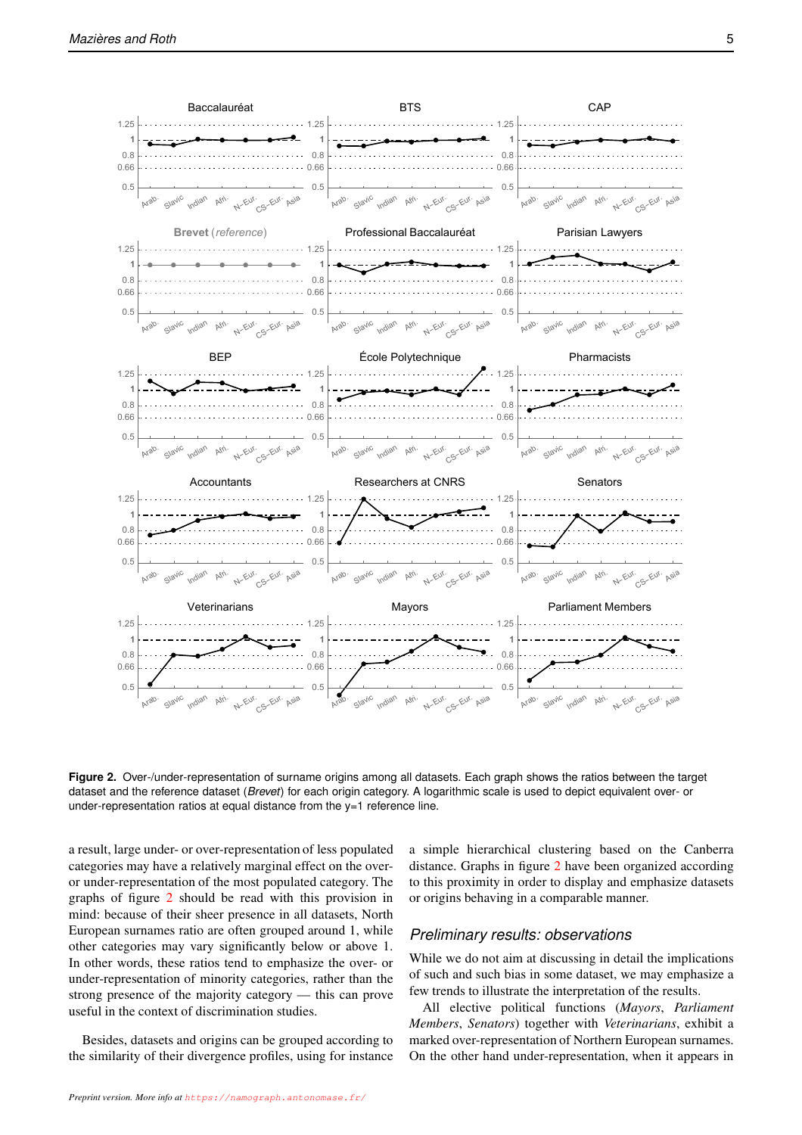<span id="page-4-0"></span>

**Figure 2.** Over-/under-representation of surname origins among all datasets. Each graph shows the ratios between the target dataset and the reference dataset (*Brevet*) for each origin category. A logarithmic scale is used to depict equivalent over- or under-representation ratios at equal distance from the y=1 reference line.

a result, large under- or over-representation of less populated categories may have a relatively marginal effect on the overor under-representation of the most populated category. The graphs of figure [2](#page-4-0) should be read with this provision in mind: because of their sheer presence in all datasets, North European surnames ratio are often grouped around 1, while other categories may vary significantly below or above 1. In other words, these ratios tend to emphasize the over- or under-representation of minority categories, rather than the strong presence of the majority category — this can prove useful in the context of discrimination studies.

Besides, datasets and origins can be grouped according to the similarity of their divergence profiles, using for instance a simple hierarchical clustering based on the Canberra distance. Graphs in figure [2](#page-4-0) have been organized according to this proximity in order to display and emphasize datasets or origins behaving in a comparable manner.

### *Preliminary results: observations*

While we do not aim at discussing in detail the implications of such and such bias in some dataset, we may emphasize a few trends to illustrate the interpretation of the results.

All elective political functions (*Mayors*, *Parliament Members*, *Senators*) together with *Veterinarians*, exhibit a marked over-representation of Northern European surnames. On the other hand under-representation, when it appears in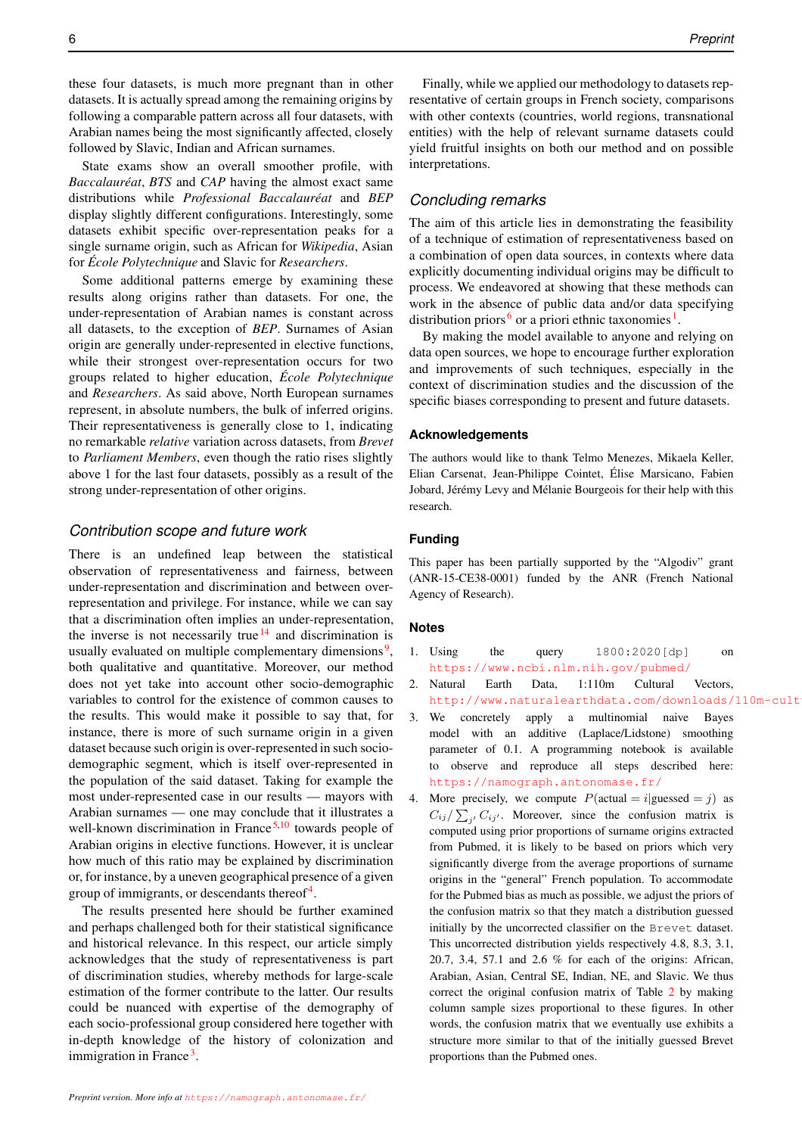these four datasets, is much more pregnant than in other datasets. It is actually spread among the remaining origins by following a comparable pattern across all four datasets, with Arabian names being the most significantly affected, closely followed by Slavic, Indian and African surnames.

State exams show an overall smoother profile, with *Baccalauréat*, *BTS* and *CAP* having the almost exact same distributions while *Professional Baccalauréat* and *BEP* display slightly different configurations. Interestingly, some datasets exhibit specific over-representation peaks for a single surname origin, such as African for *Wikipedia*, Asian for *École Polytechnique* and Slavic for *Researchers*.

Some additional patterns emerge by examining these results along origins rather than datasets. For one, the under-representation of Arabian names is constant across all datasets, to the exception of *BEP*. Surnames of Asian origin are generally under-represented in elective functions, while their strongest over-representation occurs for two groups related to higher education, *École Polytechnique* and *Researchers*. As said above, North European surnames represent, in absolute numbers, the bulk of inferred origins. Their representativeness is generally close to 1, indicating no remarkable *relative* variation across datasets, from *Brevet* to *Parliament Members*, even though the ratio rises slightly above 1 for the last four datasets, possibly as a result of the strong under-representation of other origins.

### *Contribution scope and future work*

There is an undefined leap between the statistical observation of representativeness and fairness, between under-representation and discrimination and between overrepresentation and privilege. For instance, while we can say that a discrimination often implies an under-representation, the inverse is not necessarily true  $14$  and discrimination is usually evaluated on multiple complementary dimensions<sup>[9](#page-6-27)</sup>, both qualitative and quantitative. Moreover, our method does not yet take into account other socio-demographic variables to control for the existence of common causes to the results. This would make it possible to say that, for instance, there is more of such surname origin in a given dataset because such origin is over-represented in such sociodemographic segment, which is itself over-represented in the population of the said dataset. Taking for example the most under-represented case in our results — mayors with Arabian surnames — one may conclude that it illustrates a well-known discrimination in France  $5.10$  $5.10$  towards people of Arabian origins in elective functions. However, it is unclear how much of this ratio may be explained by discrimination or, for instance, by a uneven geographical presence of a given group of immigrants, or descendants thereof<sup>[4](#page-6-30)</sup>.

The results presented here should be further examined and perhaps challenged both for their statistical significance and historical relevance. In this respect, our article simply acknowledges that the study of representativeness is part of discrimination studies, whereby methods for large-scale estimation of the former contribute to the latter. Our results could be nuanced with expertise of the demography of each socio-professional group considered here together with in-depth knowledge of the history of colonization and immigration in France<sup>[3](#page-6-31)</sup>.

Finally, while we applied our methodology to datasets representative of certain groups in French society, comparisons with other contexts (countries, world regions, transnational entities) with the help of relevant surname datasets could yield fruitful insights on both our method and on possible interpretations.

### *Concluding remarks*

The aim of this article lies in demonstrating the feasibility of a technique of estimation of representativeness based on a combination of open data sources, in contexts where data explicitly documenting individual origins may be difficult to process. We endeavored at showing that these methods can work in the absence of public data and/or data specifying distribution priors  $\frac{6}{5}$  $\frac{6}{5}$  $\frac{6}{5}$  or a priori ethnic taxonomies<sup>[1](#page-6-19)</sup>.

By making the model available to anyone and relying on data open sources, we hope to encourage further exploration and improvements of such techniques, especially in the context of discrimination studies and the discussion of the specific biases corresponding to present and future datasets.

### **Acknowledgements**

The authors would like to thank Telmo Menezes, Mikaela Keller, Elian Carsenat, Jean-Philippe Cointet, Élise Marsicano, Fabien Jobard, Jérémy Levy and Mélanie Bourgeois for their help with this research.

### **Funding**

This paper has been partially supported by the "Algodiv" grant (ANR-15-CE38-0001) funded by the ANR (French National Agency of Research).

### **Notes**

- 1. Using the query 1800:2020[dp] on <https://www.ncbi.nlm.nih.gov/pubmed/>
- 2. Natural Earth Data, 1:110m Cultural Vectors, http://www.naturalearthdata.com/downloads/110m-cult
- 3. We concretely apply a multinomial naive Bayes model with an additive (Laplace/Lidstone) smoothing parameter of 0.1. A programming notebook is available to observe and reproduce all steps described here: <https://namograph.antonomase.fr/>
- 4. More precisely, we compute  $P(\text{actual} = i | \text{guessed} = j)$  as  $C_{ij}/\sum_{j'} C_{ij'}$ . Moreover, since the confusion matrix is computed using prior proportions of surname origins extracted from Pubmed, it is likely to be based on priors which very significantly diverge from the average proportions of surname origins in the "general" French population. To accommodate for the Pubmed bias as much as possible, we adjust the priors of the confusion matrix so that they match a distribution guessed initially by the uncorrected classifier on the Brevet dataset. This uncorrected distribution yields respectively 4.8, 8.3, 3.1, 20.7, 3.4, 57.1 and 2.6 % for each of the origins: African, Arabian, Asian, Central SE, Indian, NE, and Slavic. We thus correct the original confusion matrix of Table [2](#page-3-0) by making column sample sizes proportional to these figures. In other words, the confusion matrix that we eventually use exhibits a structure more similar to that of the initially guessed Brevet proportions than the Pubmed ones.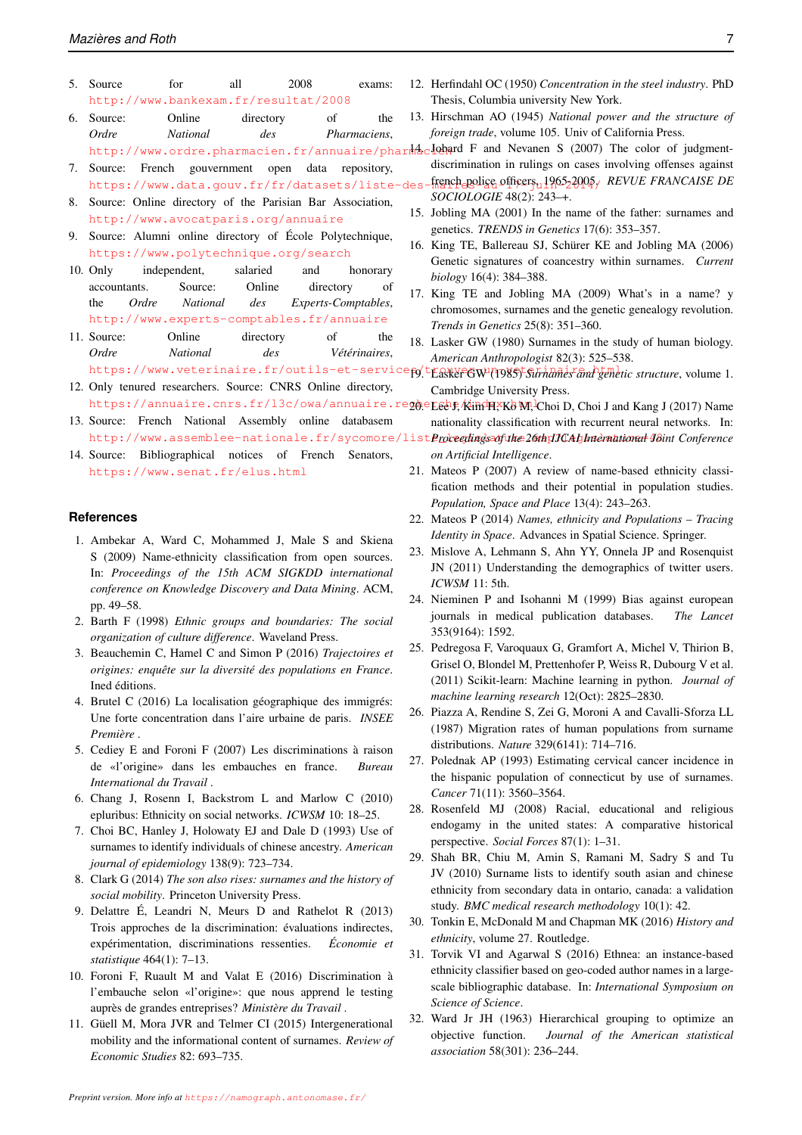- 5. Source for all 2008 exams: <http://www.bankexam.fr/resultat/2008>
- 6. Source: Online directory of the *Ordre National des Pharmaciens*, <http://www.ordre.pharmacien.fr/annuaire/pharmacien>.
- 7. Source: French gouvernment open data repository, https://www.data.gouv.fr/fr/datasets/liste-des
- 8. Source: Online directory of the Parisian Bar Association, <http://www.avocatparis.org/annuaire>
- 9. Source: Alumni online directory of École Polytechnique, <https://www.polytechnique.org/search>
- 10. Only independent, salaried and honorary accountants. Source: Online directory of the *Ordre National des Experts-Comptables*, <http://www.experts-comptables.fr/annuaire>
- 11. Source: Online directory of the *Ordre National des Vétérinaires*, https://www.veterinaire.fr/outils-et-servicefo/trouve<del>co</del>w (1985) *Surnames and genetic structure*, volume 1.
- 12. Only tenured researchers. Source: CNRS Online directory,
- 13. Source: French National Assembly online databasem http://www.assemblee-nationale.fr/sycomore/list*Procedings of the 26th IJCAU had natheal 48int Conference*
- 14. Source: Bibliographical notices of French Senators, <https://www.senat.fr/elus.html>

### **References**

- <span id="page-6-19"></span>1. Ambekar A, Ward C, Mohammed J, Male S and Skiena S (2009) Name-ethnicity classification from open sources. In: *Proceedings of the 15th ACM SIGKDD international conference on Knowledge Discovery and Data Mining*. ACM, pp. 49–58.
- <span id="page-6-15"></span>2. Barth F (1998) *Ethnic groups and boundaries: The social organization of culture difference*. Waveland Press.
- <span id="page-6-31"></span>3. Beauchemin C, Hamel C and Simon P (2016) *Trajectoires et origines: enquête sur la diversité des populations en France*. Ined éditions.
- <span id="page-6-30"></span><span id="page-6-8"></span>4. Brutel C (2016) La localisation géographique des immigrés: Une forte concentration dans l'aire urbaine de paris. *INSEE Première* .
- <span id="page-6-28"></span><span id="page-6-5"></span>5. Cediey E and Foroni F (2007) Les discriminations à raison de «l'origine» dans les embauches en france. *Bureau International du Travail* .
- <span id="page-6-17"></span><span id="page-6-11"></span>6. Chang J, Rosenn I, Backstrom L and Marlow C (2010) epluribus: Ethnicity on social networks. *ICWSM* 10: 18–25.
- <span id="page-6-6"></span><span id="page-6-4"></span>7. Choi BC, Hanley J, Holowaty EJ and Dale D (1993) Use of surnames to identify individuals of chinese ancestry. *American journal of epidemiology* 138(9): 723–734.
- <span id="page-6-13"></span>8. Clark G (2014) *The son also rises: surnames and the history of social mobility*. Princeton University Press.
- <span id="page-6-27"></span><span id="page-6-20"></span><span id="page-6-16"></span>9. Delattre É, Leandri N, Meurs D and Rathelot R (2013) Trois approches de la discrimination: évaluations indirectes, expérimentation, discriminations ressenties. *Économie et statistique* 464(1): 7–13.
- <span id="page-6-29"></span>10. Foroni F, Ruault M and Valat E (2016) Discrimination à l'embauche selon «l'origine»: que nous apprend le testing auprès de grandes entreprises? *Ministère du Travail* .
- <span id="page-6-24"></span><span id="page-6-14"></span>11. Güell M, Mora JVR and Telmer CI (2015) Intergenerational mobility and the informational content of surnames. *Review of Economic Studies* 82: 693–735.
- <span id="page-6-22"></span>12. Herfindahl OC (1950) *Concentration in the steel industry*. PhD Thesis, Columbia university New York.
- <span id="page-6-23"></span>13. Hirschman AO (1945) *National power and the structure of foreign trade*, volume 105. Univ of California Press.
- <span id="page-6-26"></span>14. Jobard F and Nevanen S (2007) The color of judgmentdiscrimination in rulings on cases involving offenses against french police officers, 1965-2005. *REVUE FRANCAISE DE*
- *SOCIOLOGIE* 48(2): 243–+.
- <span id="page-6-0"></span>15. Jobling MA (2001) In the name of the father: surnames and genetics. *TRENDS in Genetics* 17(6): 353–357.
- <span id="page-6-1"></span>16. King TE, Ballereau SJ, Schürer KE and Jobling MA (2006) Genetic signatures of coancestry within surnames. *Current biology* 16(4): 384–388.
- <span id="page-6-7"></span>17. King TE and Jobling MA (2009) What's in a name? y chromosomes, surnames and the genetic genealogy revolution. *Trends in Genetics* 25(8): 351–360.
- <span id="page-6-3"></span>18. Lasker GW (1980) Surnames in the study of human biology. *American Anthropologist* 82(3): 525–538.
- <span id="page-6-25"></span><span id="page-6-21"></span><span id="page-6-18"></span><span id="page-6-12"></span><span id="page-6-10"></span><span id="page-6-9"></span><span id="page-6-2"></span>Cambridge University Press.
- https://annuaire.cnrs.fr/l3c/owa/annuaire.reg@ersebp,/kim H, Ko M, Choi D, Choi J and Kang J (2017) Name nationality classification with recurrent neural networks. In:
	- *on Artificial Intelligence*.
	- 21. Mateos P (2007) A review of name-based ethnicity classification methods and their potential in population studies. *Population, Space and Place* 13(4): 243–263.
	- 22. Mateos P (2014) *Names, ethnicity and Populations Tracing Identity in Space*. Advances in Spatial Science. Springer.
	- 23. Mislove A, Lehmann S, Ahn YY, Onnela JP and Rosenquist JN (2011) Understanding the demographics of twitter users. *ICWSM* 11: 5th.
	- 24. Nieminen P and Isohanni M (1999) Bias against european journals in medical publication databases. *The Lancet* 353(9164): 1592.
	- 25. Pedregosa F, Varoquaux G, Gramfort A, Michel V, Thirion B, Grisel O, Blondel M, Prettenhofer P, Weiss R, Dubourg V et al. (2011) Scikit-learn: Machine learning in python. *Journal of machine learning research* 12(Oct): 2825–2830.
	- 26. Piazza A, Rendine S, Zei G, Moroni A and Cavalli-Sforza LL (1987) Migration rates of human populations from surname distributions. *Nature* 329(6141): 714–716.
	- 27. Polednak AP (1993) Estimating cervical cancer incidence in the hispanic population of connecticut by use of surnames. *Cancer* 71(11): 3560–3564.
	- 28. Rosenfeld MJ (2008) Racial, educational and religious endogamy in the united states: A comparative historical perspective. *Social Forces* 87(1): 1–31.
	- 29. Shah BR, Chiu M, Amin S, Ramani M, Sadry S and Tu JV (2010) Surname lists to identify south asian and chinese ethnicity from secondary data in ontario, canada: a validation study. *BMC medical research methodology* 10(1): 42.
	- 30. Tonkin E, McDonald M and Chapman MK (2016) *History and ethnicity*, volume 27. Routledge.
	- 31. Torvik VI and Agarwal S (2016) Ethnea: an instance-based ethnicity classifier based on geo-coded author names in a largescale bibliographic database. In: *International Symposium on Science of Science*.
	- 32. Ward Jr JH (1963) Hierarchical grouping to optimize an objective function. *Journal of the American statistical association* 58(301): 236–244.